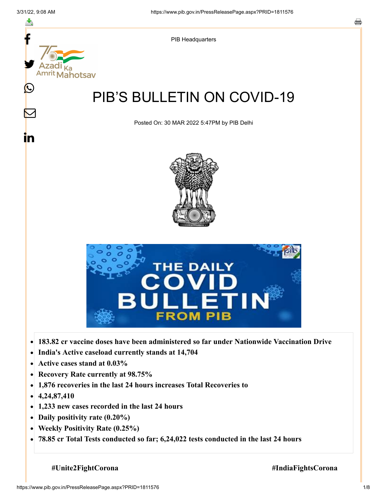

- **Recovery Rate currently at 98.75%**  $\bullet$
- **1,876 recoveries in the last 24 hours increases Total Recoveries to**  $\bullet$
- **4,24,87,410**  $\bullet$
- **1,233 new cases recorded in the last 24 hours**
- **Daily positivity rate (0.20%)**
- **Weekly Positivity Rate (0.25%)**  $\bullet$
- **78.85 cr Total Tests conducted so far; 6,24,022 tests conducted in the last 24 hours**  $\bullet$

**#Unite2FightCorona #IndiaFightsCorona**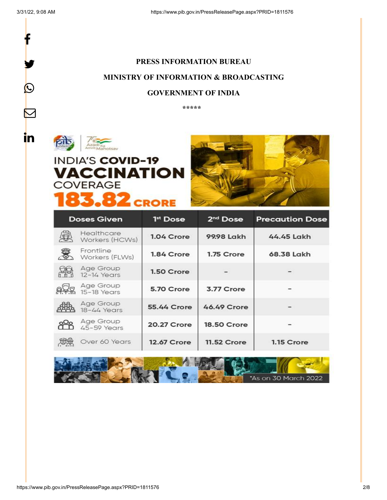

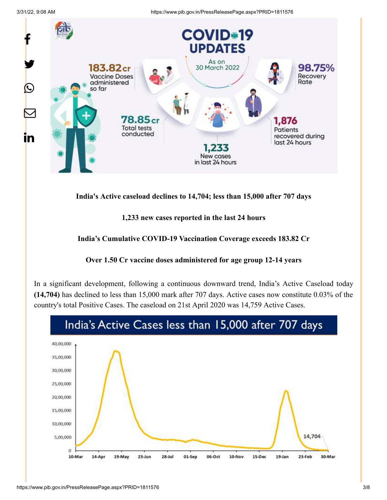

**India's Active caseload declines to 14,704; less than 15,000 after 707 days**

**1,233 new cases reported in the last 24 hours**

**India's Cumulative COVID-19 Vaccination Coverage exceeds 183.82 Cr**



In a significant development, following a continuous downward trend, India's Active Caseload today **(14,704)** has declined to less than 15,000 mark after 707 days. Active cases now constitute 0.03% of the country's total Positive Cases. The caseload on 21st April 2020 was 14,759 Active Cases.

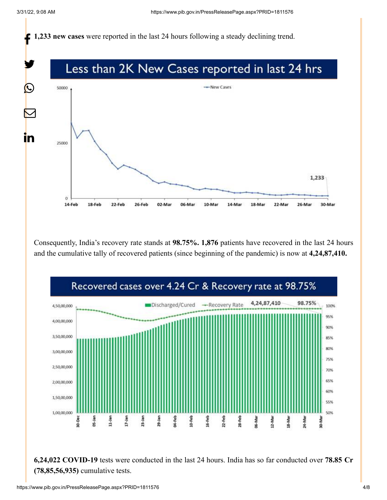**1,233 new cases** were reported in the last 24 hours following a steady declining trend.



Consequently, India's recovery rate stands at **98.75%. 1,876** patients have recovered in the last 24 hours and the cumulative tally of recovered patients (since beginning of the pandemic) is now at **4,24,87,410.**



**6,24,022 COVID-19** tests were conducted in the last 24 hours. India has so far conducted over **78.85 Cr (78,85,56,935)** cumulative tests.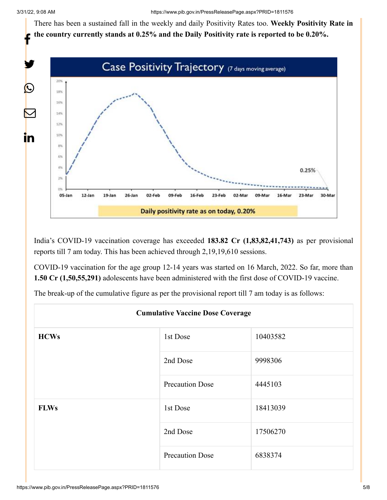There has been a sustained fall in the weekly and daily Positivity Rates too. **Weekly Positivity Rate in the country currently stands at 0.25% and the Daily Positivity rate is reported to be 0.20%.**



India's COVID-19 vaccination coverage has exceeded **183.82 Cr (1,83,82,41,743)** as per provisional reports till 7 am today. This has been achieved through 2,19,19,610 sessions.

COVID-19 vaccination for the age group 12-14 years was started on 16 March, 2022. So far, more than **1.50 Cr (1,50,55,291)** adolescents have been administered with the first dose of COVID-19 vaccine.

The break-up of the cumulative figure as per the provisional report till 7 am today is as follows:

| <b>Cumulative Vaccine Dose Coverage</b> |                        |          |  |  |
|-----------------------------------------|------------------------|----------|--|--|
| <b>HCWs</b>                             | 1st Dose               | 10403582 |  |  |
|                                         | 2nd Dose               | 9998306  |  |  |
|                                         | <b>Precaution Dose</b> | 4445103  |  |  |
| <b>FLWs</b>                             | 1st Dose               | 18413039 |  |  |
|                                         | 2nd Dose               | 17506270 |  |  |
|                                         | <b>Precaution Dose</b> | 6838374  |  |  |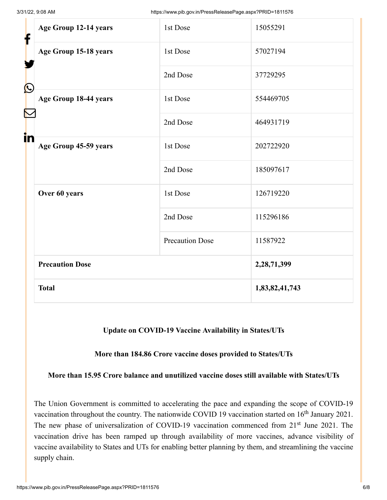| f          | Age Group 12-14 years  | 1st Dose               | 15055291       |
|------------|------------------------|------------------------|----------------|
|            | Age Group 15-18 years  | 1st Dose               | 57027194       |
| $\bigcirc$ |                        | 2nd Dose               | 37729295       |
|            | Age Group 18-44 years  | 1st Dose               | 554469705      |
|            |                        | 2nd Dose               | 464931719      |
| in         | Age Group 45-59 years  | 1st Dose               | 202722920      |
|            |                        | 2nd Dose               | 185097617      |
|            | Over 60 years          | 1st Dose               | 126719220      |
|            |                        | 2nd Dose               | 115296186      |
|            |                        | <b>Precaution Dose</b> | 11587922       |
|            | <b>Precaution Dose</b> |                        | 2,28,71,399    |
|            | <b>Total</b>           |                        | 1,83,82,41,743 |

### **Update on COVID-19 Vaccine Availability in States/UTs**

#### **More than 184.86 Crore vaccine doses provided to States/UTs**

#### **More than 15.95 Crore balance and unutilized vaccine doses still available with States/UTs**

The Union Government is committed to accelerating the pace and expanding the scope of COVID-19 vaccination throughout the country. The nationwide COVID 19 vaccination started on  $16<sup>th</sup>$  January 2021. The new phase of universalization of COVID-19 vaccination commenced from 21<sup>st</sup> June 2021. The vaccination drive has been ramped up through availability of more vaccines, advance visibility of vaccine availability to States and UTs for enabling better planning by them, and streamlining the vaccine supply chain.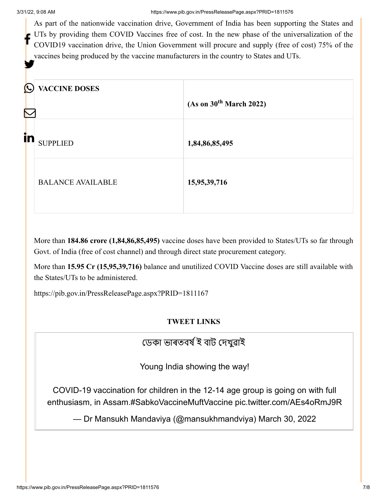As part of the nationwide vaccination drive, Government of India has been supporting the States and UTs by providing them COVID Vaccines free of cost. In the new phase of the universalization of the COVID19 vaccination drive, the Union Government will procure and supply (free of cost) 75% of the vaccines being produced by the vaccine manufacturers in the country to States and UTs. f y

| $\boldsymbol{\Theta}$<br>$\nabla$ | <b>VACCINE DOSES</b>     | (As on 30 <sup>th</sup> March 2022) |
|-----------------------------------|--------------------------|-------------------------------------|
| in                                | <b>SUPPLIED</b>          | 1,84,86,85,495                      |
|                                   | <b>BALANCE AVAILABLE</b> | 15,95,39,716                        |

More than **184.86 crore (1,84,86,85,495)** vaccine doses have been provided to States/UTs so far through Govt. of India (free of cost channel) and through direct state procurement category.

More than **15.95 Cr (15,95,39,716)** balance and unutilized COVID Vaccine doses are still available with the States/UTs to be administered.

<https://pib.gov.in/PressReleasePage.aspx?PRID=1811167>

## **TWEET LINKS**

# ডেকা ভাৰতবৰ্ষ ই বাট দেখুৱাই

Young India showing the way!

COVID-19 vaccination for children in the 12-14 age group is going on with full enthusiasm, in Assam.[#SabkoVaccineMuftVaccine](https://twitter.com/hashtag/SabkoVaccineMuftVaccine?src=hash&ref_src=twsrc%5Etfw) [pic.twitter.com/AEs4oRmJ9R](https://t.co/AEs4oRmJ9R)

— Dr Mansukh Mandaviya (@mansukhmandviya) [March 30, 2022](https://twitter.com/mansukhmandviya/status/1509093555234832387?ref_src=twsrc%5Etfw)